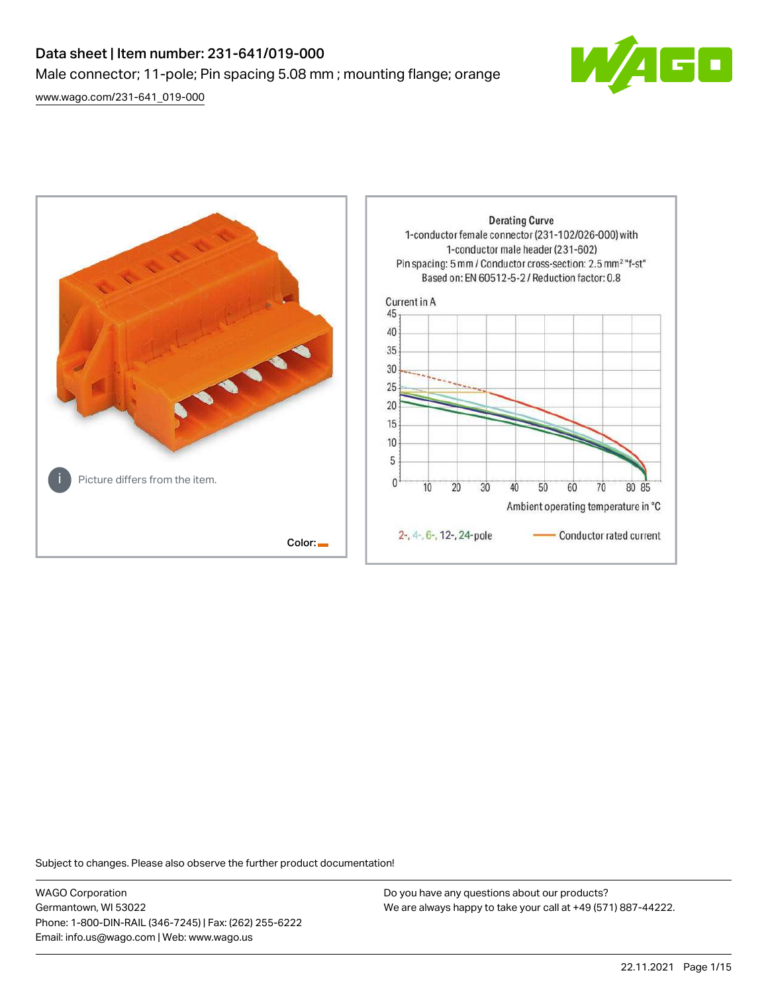# Data sheet | Item number: 231-641/019-000 Male connector; 11-pole; Pin spacing 5.08 mm ; mounting flange; orange

[www.wago.com/231-641\\_019-000](http://www.wago.com/231-641_019-000)





Subject to changes. Please also observe the further product documentation!

WAGO Corporation Germantown, WI 53022 Phone: 1-800-DIN-RAIL (346-7245) | Fax: (262) 255-6222 Email: info.us@wago.com | Web: www.wago.us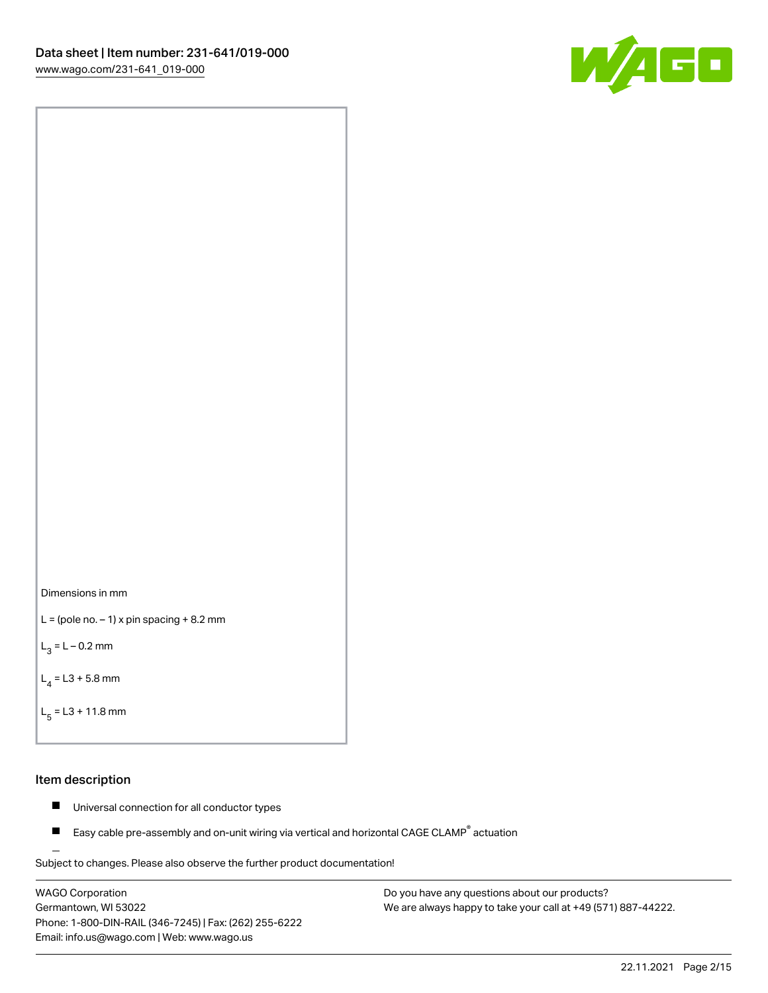



```
L = (pole no. -1) x pin spacing +8.2 mm
```
 $L_3 = L - 0.2$  mm

```
L_4 = L3 + 5.8 mm
```

```
L_{\rm g} = L3 + 11.8 mm
```
#### Item description

- $\blacksquare$ Universal connection for all conductor types
- Easy cable pre-assembly and on-unit wiring via vertical and horizontal CAGE CLAMP<sup>®</sup> actuation  $\blacksquare$

Subject to changes. Please also observe the further product documentation! For wire-to-wire and board-to-wire connections

WAGO Corporation Germantown, WI 53022 Phone: 1-800-DIN-RAIL (346-7245) | Fax: (262) 255-6222 Email: info.us@wago.com | Web: www.wago.us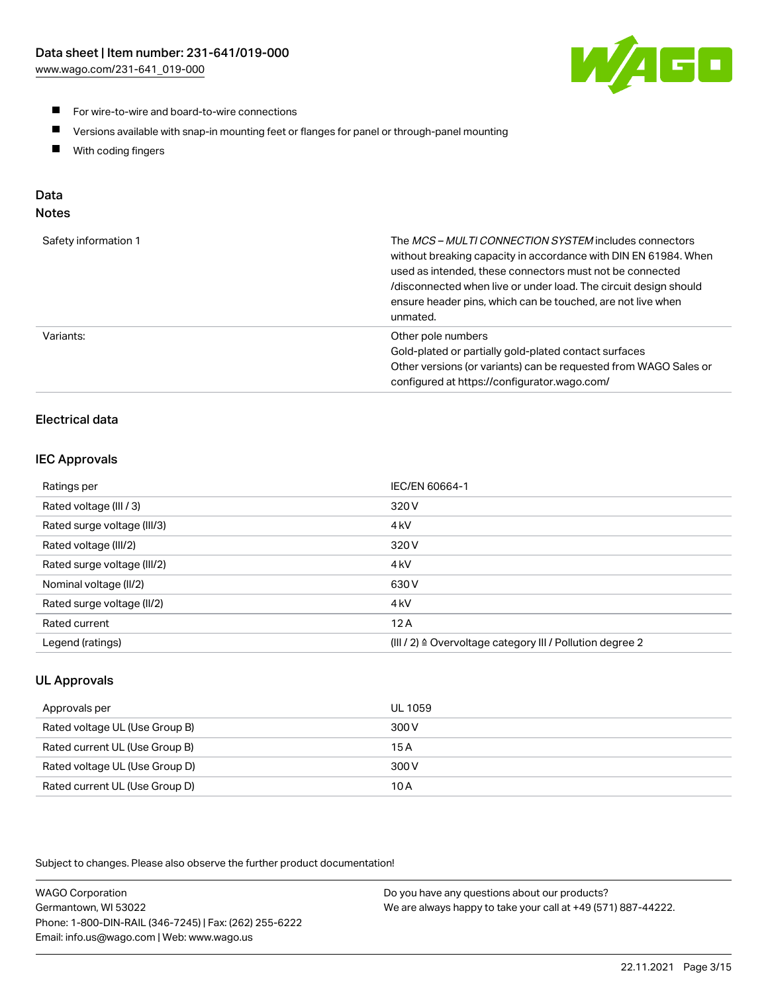

- **For wire-to-wire and board-to-wire connections**
- $\blacksquare$ Versions available with snap-in mounting feet or flanges for panel or through-panel mounting
- $\blacksquare$ With coding fingers

# Data

## Notes

| Safety information 1 | The MCS-MULTI CONNECTION SYSTEM includes connectors<br>without breaking capacity in accordance with DIN EN 61984. When<br>used as intended, these connectors must not be connected<br>/disconnected when live or under load. The circuit design should<br>ensure header pins, which can be touched, are not live when<br>unmated. |
|----------------------|-----------------------------------------------------------------------------------------------------------------------------------------------------------------------------------------------------------------------------------------------------------------------------------------------------------------------------------|
| Variants:            | Other pole numbers<br>Gold-plated or partially gold-plated contact surfaces<br>Other versions (or variants) can be requested from WAGO Sales or<br>configured at https://configurator.wago.com/                                                                                                                                   |

# Electrical data

## IEC Approvals

| Ratings per                 | IEC/EN 60664-1                                                        |
|-----------------------------|-----------------------------------------------------------------------|
| Rated voltage (III / 3)     | 320 V                                                                 |
| Rated surge voltage (III/3) | 4 <sub>k</sub> V                                                      |
| Rated voltage (III/2)       | 320 V                                                                 |
| Rated surge voltage (III/2) | 4 <sub>k</sub> V                                                      |
| Nominal voltage (II/2)      | 630 V                                                                 |
| Rated surge voltage (II/2)  | 4 <sub>k</sub> V                                                      |
| Rated current               | 12A                                                                   |
| Legend (ratings)            | $(III / 2)$ $\triangle$ Overvoltage category III / Pollution degree 2 |

## UL Approvals

| Approvals per                  | UL 1059 |
|--------------------------------|---------|
| Rated voltage UL (Use Group B) | 300 V   |
| Rated current UL (Use Group B) | 15 A    |
| Rated voltage UL (Use Group D) | 300 V   |
| Rated current UL (Use Group D) | 10 A    |

Subject to changes. Please also observe the further product documentation!

| <b>WAGO Corporation</b>                                | Do you have any questions about our products?                 |
|--------------------------------------------------------|---------------------------------------------------------------|
| Germantown, WI 53022                                   | We are always happy to take your call at +49 (571) 887-44222. |
| Phone: 1-800-DIN-RAIL (346-7245)   Fax: (262) 255-6222 |                                                               |
| Email: info.us@wago.com   Web: www.wago.us             |                                                               |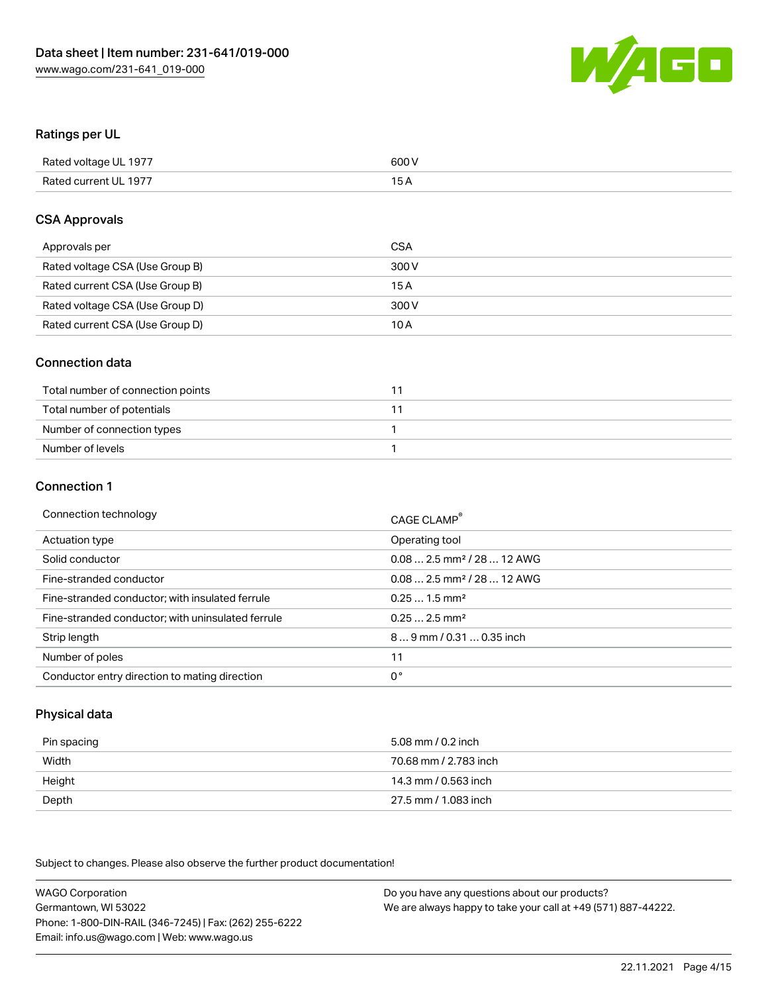

#### Ratings per UL

| Rated voltage UL 1977 | 600 V |
|-----------------------|-------|
| Rated current UL 1977 | 1 E   |

#### CSA Approvals

| Approvals per                   | CSA   |
|---------------------------------|-------|
| Rated voltage CSA (Use Group B) | 300 V |
| Rated current CSA (Use Group B) | 15 A  |
| Rated voltage CSA (Use Group D) | 300 V |
| Rated current CSA (Use Group D) | 10 A  |

#### Connection data

| Total number of connection points |  |
|-----------------------------------|--|
| Total number of potentials        |  |
| Number of connection types        |  |
| Number of levels                  |  |

#### Connection 1

| Connection technology                             | CAGE CLAMP <sup>®</sup>                 |
|---------------------------------------------------|-----------------------------------------|
| Actuation type                                    | Operating tool                          |
| Solid conductor                                   | $0.082.5$ mm <sup>2</sup> / 28  12 AWG  |
| Fine-stranded conductor                           | $0.08$ 2.5 mm <sup>2</sup> / 28  12 AWG |
| Fine-stranded conductor; with insulated ferrule   | $0.251.5$ mm <sup>2</sup>               |
| Fine-stranded conductor; with uninsulated ferrule | $0.252.5$ mm <sup>2</sup>               |
| Strip length                                      | 89 mm / 0.31  0.35 inch                 |
| Number of poles                                   | 11                                      |
| Conductor entry direction to mating direction     | 0°                                      |

## Physical data

| Pin spacing | 5.08 mm / 0.2 inch    |
|-------------|-----------------------|
| Width       | 70.68 mm / 2.783 inch |
| Height      | 14.3 mm / 0.563 inch  |
| Depth       | 27.5 mm / 1.083 inch  |

Subject to changes. Please also observe the further product documentation!

WAGO Corporation Germantown, WI 53022 Phone: 1-800-DIN-RAIL (346-7245) | Fax: (262) 255-6222 Email: info.us@wago.com | Web: www.wago.us Do you have any questions about our products? We are always happy to take your call at +49 (571) 887-44222.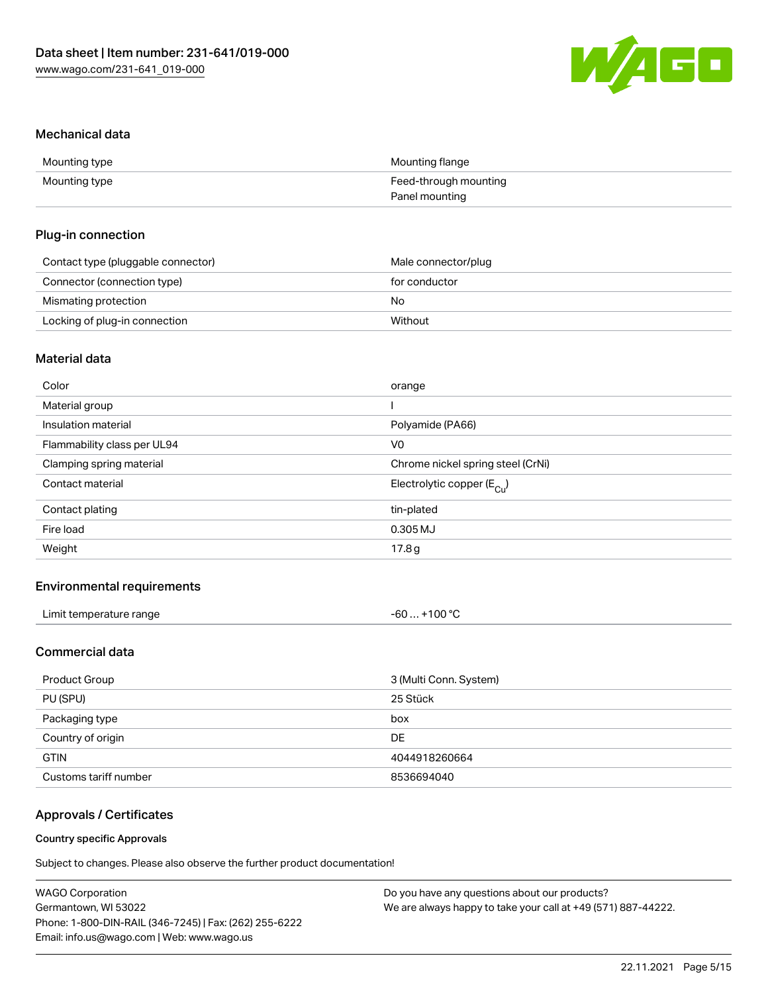

#### Mechanical data

| Mounting type | Mounting flange       |
|---------------|-----------------------|
| Mounting type | Feed-through mounting |
|               | Panel mounting        |

#### Plug-in connection

| Contact type (pluggable connector) | Male connector/plug |
|------------------------------------|---------------------|
| Connector (connection type)        | for conductor       |
| Mismating protection               | No                  |
| Locking of plug-in connection      | Without             |

## Material data

| Color                       | orange                                |
|-----------------------------|---------------------------------------|
| Material group              |                                       |
| Insulation material         | Polyamide (PA66)                      |
| Flammability class per UL94 | V <sub>0</sub>                        |
| Clamping spring material    | Chrome nickel spring steel (CrNi)     |
| Contact material            | Electrolytic copper $(E_{\text{Cl}})$ |
| Contact plating             | tin-plated                            |
| Fire load                   | 0.305 MJ                              |
| Weight                      | 17.8 <sub>g</sub>                     |
|                             |                                       |

## Environmental requirements

| Limit temperature range<br>. | +100 °C<br>-60 |  |
|------------------------------|----------------|--|
|------------------------------|----------------|--|

## Commercial data

| Product Group         | 3 (Multi Conn. System) |
|-----------------------|------------------------|
| PU (SPU)              | 25 Stück               |
| Packaging type        | box                    |
| Country of origin     | DE.                    |
| <b>GTIN</b>           | 4044918260664          |
| Customs tariff number | 8536694040             |

## Approvals / Certificates

#### Country specific Approvals

Subject to changes. Please also observe the further product documentation!

| <b>WAGO Corporation</b>                                | Do you have any questions about our products?                 |
|--------------------------------------------------------|---------------------------------------------------------------|
| Germantown, WI 53022                                   | We are always happy to take your call at +49 (571) 887-44222. |
| Phone: 1-800-DIN-RAIL (346-7245)   Fax: (262) 255-6222 |                                                               |
| Email: info.us@wago.com   Web: www.wago.us             |                                                               |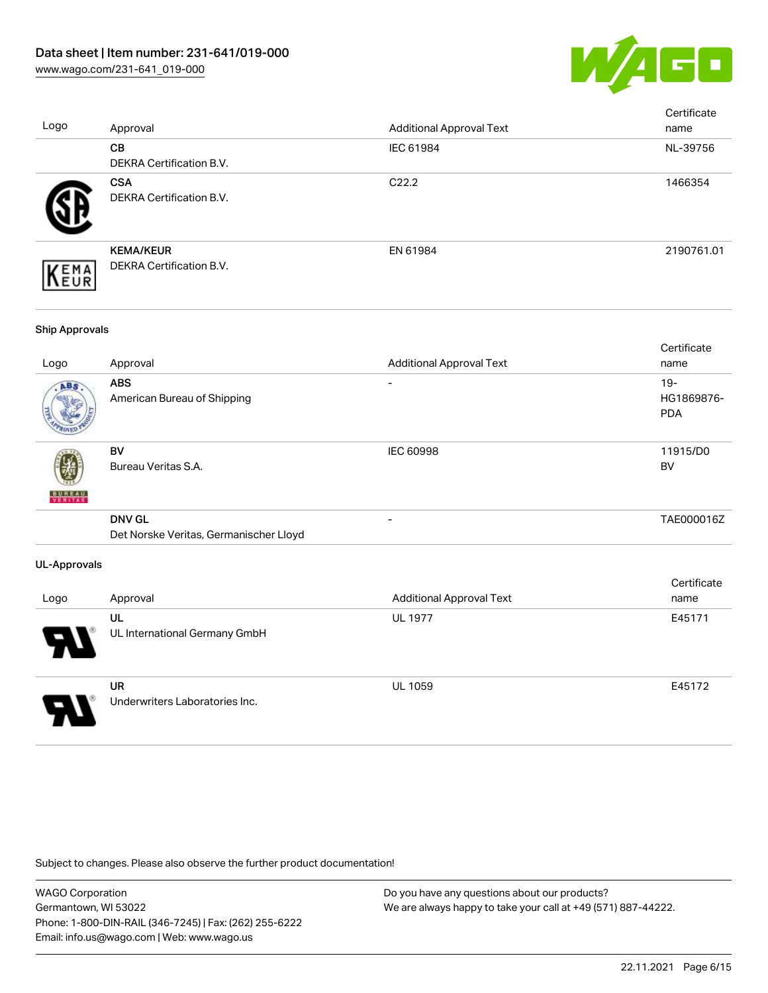

| Logo                  | Approval                                                | <b>Additional Approval Text</b> | Certificate<br>name                |
|-----------------------|---------------------------------------------------------|---------------------------------|------------------------------------|
|                       | CB<br>DEKRA Certification B.V.                          | IEC 61984                       | NL-39756                           |
|                       | <b>CSA</b><br>DEKRA Certification B.V.                  | C22.2                           | 1466354                            |
| EMA<br>EUR            | <b>KEMA/KEUR</b><br>DEKRA Certification B.V.            | EN 61984                        | 2190761.01                         |
| <b>Ship Approvals</b> |                                                         |                                 |                                    |
| Logo                  | Approval                                                | <b>Additional Approval Text</b> | Certificate<br>name                |
|                       | <b>ABS</b><br>American Bureau of Shipping               |                                 | $19 -$<br>HG1869876-<br><b>PDA</b> |
|                       | <b>BV</b><br>Bureau Veritas S.A.                        | IEC 60998                       | 11915/D0<br><b>BV</b>              |
|                       | <b>DNV GL</b><br>Det Norske Veritas, Germanischer Lloyd | $\overline{a}$                  | TAE000016Z                         |
| <b>UL-Approvals</b>   |                                                         |                                 |                                    |
| Logo                  | Approval                                                | <b>Additional Approval Text</b> | Certificate<br>name                |
|                       | UL<br>UL International Germany GmbH                     | <b>UL 1977</b>                  | E45171                             |
|                       | <b>UR</b><br>Underwriters Laboratories Inc.             | <b>UL 1059</b>                  | E45172                             |

Subject to changes. Please also observe the further product documentation!

WAGO Corporation Germantown, WI 53022 Phone: 1-800-DIN-RAIL (346-7245) | Fax: (262) 255-6222 Email: info.us@wago.com | Web: www.wago.us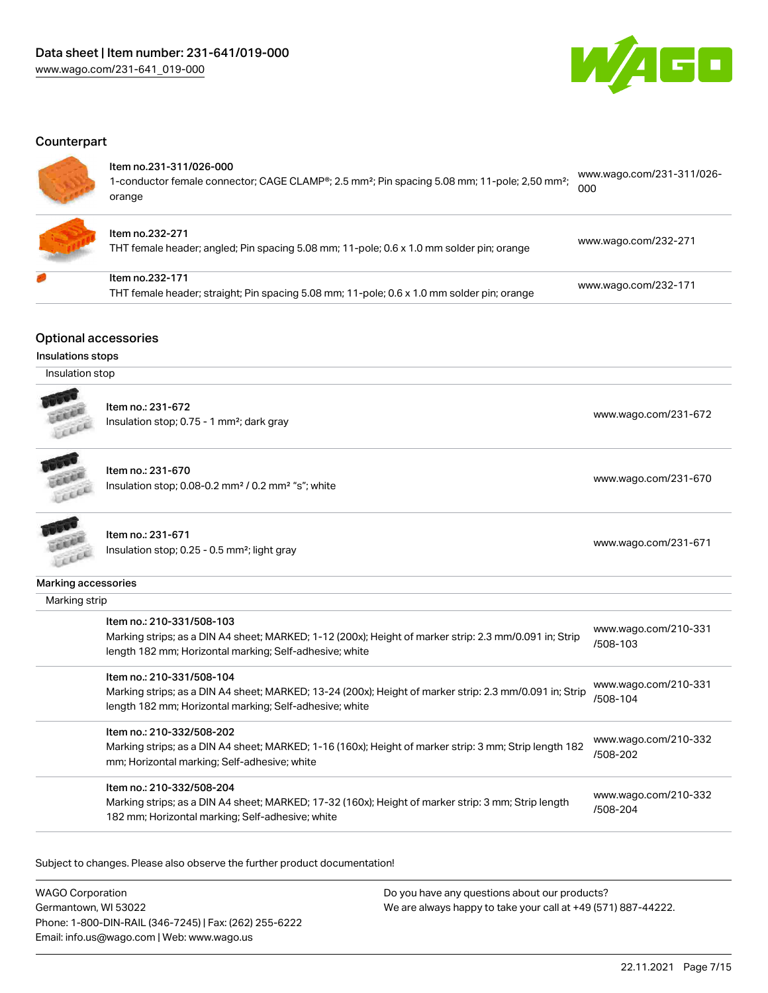

#### **Counterpart**

#### Item no.231-311/026-000

1-conductor female connector; CAGE CLAMP®; 2.5 mm²; Pin spacing 5.08 mm; 11-pole; 2,50 mm²; orange [www.wago.com/231-311/026-](https://www.wago.com/231-311/026-000) [000](https://www.wago.com/231-311/026-000)



## Item no.232-271

THT female header; angled; Pin spacing 5.08 mm; 11-pole; 0.6 x 1.0 mm solder pin; orange [www.wago.com/232-271](https://www.wago.com/232-271)

| ltem no.232-171                                                                            |                      |
|--------------------------------------------------------------------------------------------|----------------------|
| THT female header; straight; Pin spacing 5.08 mm; 11-pole; 0.6 x 1.0 mm solder pin; orange | www.wago.com/232-171 |

#### Optional accessories

| Insulations stops   |                                                                                                                                                                                                 |                                  |
|---------------------|-------------------------------------------------------------------------------------------------------------------------------------------------------------------------------------------------|----------------------------------|
| Insulation stop     |                                                                                                                                                                                                 |                                  |
|                     | Item no.: 231-672<br>Insulation stop; 0.75 - 1 mm <sup>2</sup> ; dark gray                                                                                                                      | www.wago.com/231-672             |
|                     | Item no.: 231-670<br>Insulation stop; 0.08-0.2 mm <sup>2</sup> / 0.2 mm <sup>2</sup> "s"; white                                                                                                 | www.wago.com/231-670             |
|                     | Item no.: 231-671<br>Insulation stop; 0.25 - 0.5 mm <sup>2</sup> ; light gray                                                                                                                   | www.wago.com/231-671             |
| Marking accessories |                                                                                                                                                                                                 |                                  |
| Marking strip       |                                                                                                                                                                                                 |                                  |
|                     | Item no.: 210-331/508-103<br>Marking strips; as a DIN A4 sheet; MARKED; 1-12 (200x); Height of marker strip: 2.3 mm/0.091 in; Strip<br>length 182 mm; Horizontal marking; Self-adhesive; white  | www.wago.com/210-331<br>/508-103 |
|                     | Item no.: 210-331/508-104<br>Marking strips; as a DIN A4 sheet; MARKED; 13-24 (200x); Height of marker strip: 2.3 mm/0.091 in; Strip<br>length 182 mm; Horizontal marking; Self-adhesive; white | www.wago.com/210-331<br>/508-104 |
|                     | Item no.: 210-332/508-202<br>Marking strips; as a DIN A4 sheet; MARKED; 1-16 (160x); Height of marker strip: 3 mm; Strip length 182<br>mm; Horizontal marking; Self-adhesive; white             | www.wago.com/210-332<br>/508-202 |
|                     | Item no.: 210-332/508-204<br>Marking strips; as a DIN A4 sheet; MARKED; 17-32 (160x); Height of marker strip: 3 mm; Strip length<br>182 mm; Horizontal marking; Self-adhesive; white            | www.wago.com/210-332<br>/508-204 |

Subject to changes. Please also observe the further product documentation!

WAGO Corporation Germantown, WI 53022 Phone: 1-800-DIN-RAIL (346-7245) | Fax: (262) 255-6222 Email: info.us@wago.com | Web: www.wago.us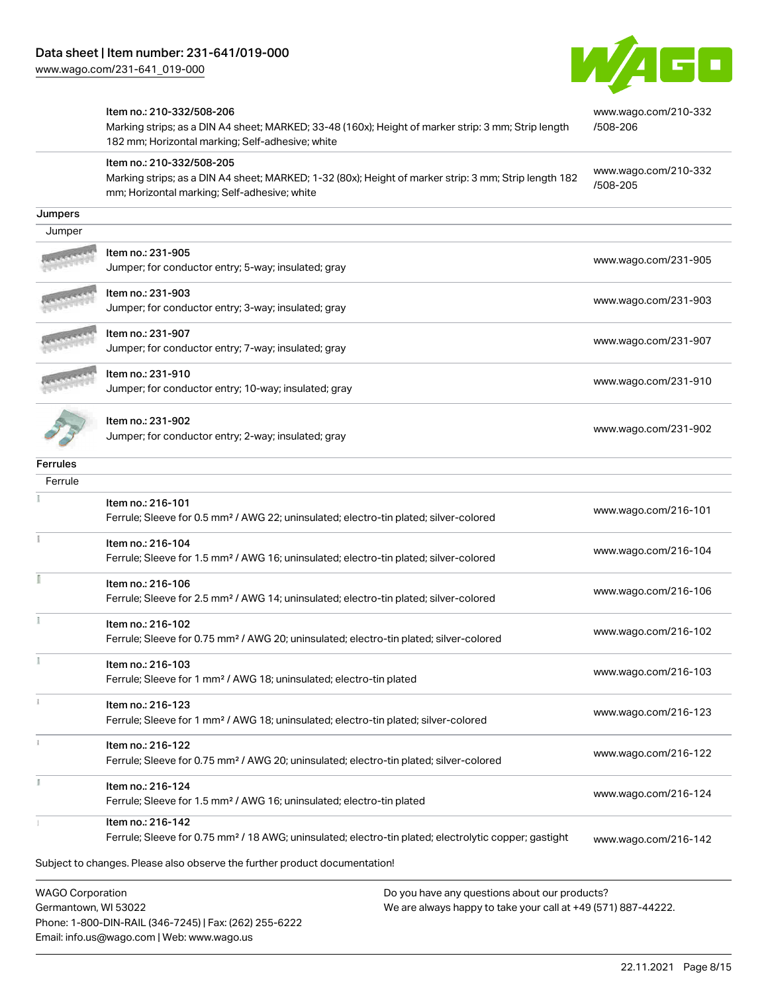Email: info.us@wago.com | Web: www.wago.us



|                                                 | Item no.: 210-332/508-206<br>Marking strips; as a DIN A4 sheet; MARKED; 33-48 (160x); Height of marker strip: 3 mm; Strip length<br>182 mm; Horizontal marking; Self-adhesive; white | www.wago.com/210-332<br>/508-206 |
|-------------------------------------------------|--------------------------------------------------------------------------------------------------------------------------------------------------------------------------------------|----------------------------------|
|                                                 | Item no.: 210-332/508-205<br>Marking strips; as a DIN A4 sheet; MARKED; 1-32 (80x); Height of marker strip: 3 mm; Strip length 182<br>mm; Horizontal marking; Self-adhesive; white   | www.wago.com/210-332<br>/508-205 |
| Jumpers                                         |                                                                                                                                                                                      |                                  |
| Jumper                                          |                                                                                                                                                                                      |                                  |
|                                                 | Item no.: 231-905<br>Jumper; for conductor entry; 5-way; insulated; gray                                                                                                             | www.wago.com/231-905             |
|                                                 | Item no.: 231-903<br>Jumper; for conductor entry; 3-way; insulated; gray                                                                                                             | www.wago.com/231-903             |
|                                                 | ltem no.: 231-907<br>Jumper; for conductor entry; 7-way; insulated; gray                                                                                                             | www.wago.com/231-907             |
|                                                 | Item no.: 231-910<br>Jumper; for conductor entry; 10-way; insulated; gray                                                                                                            | www.wago.com/231-910             |
|                                                 | Item no.: 231-902<br>Jumper; for conductor entry; 2-way; insulated; gray                                                                                                             | www.wago.com/231-902             |
| <b>Ferrules</b>                                 |                                                                                                                                                                                      |                                  |
| Ferrule                                         |                                                                                                                                                                                      |                                  |
|                                                 | Item no.: 216-101<br>Ferrule; Sleeve for 0.5 mm <sup>2</sup> / AWG 22; uninsulated; electro-tin plated; silver-colored                                                               | www.wago.com/216-101             |
|                                                 | Item no.: 216-104<br>Ferrule; Sleeve for 1.5 mm <sup>2</sup> / AWG 16; uninsulated; electro-tin plated; silver-colored                                                               | www.wago.com/216-104             |
|                                                 | Item no.: 216-106<br>Ferrule; Sleeve for 2.5 mm <sup>2</sup> / AWG 14; uninsulated; electro-tin plated; silver-colored                                                               | www.wago.com/216-106             |
|                                                 | Item no.: 216-102<br>Ferrule; Sleeve for 0.75 mm <sup>2</sup> / AWG 20; uninsulated; electro-tin plated; silver-colored                                                              | www.wago.com/216-102             |
|                                                 | Item no.: 216-103<br>Ferrule; Sleeve for 1 mm <sup>2</sup> / AWG 18; uninsulated; electro-tin plated                                                                                 | www.wago.com/216-103             |
|                                                 | Item no.: 216-123<br>Ferrule; Sleeve for 1 mm <sup>2</sup> / AWG 18; uninsulated; electro-tin plated; silver-colored                                                                 | www.wago.com/216-123             |
|                                                 | Item no.: 216-122<br>Ferrule; Sleeve for 0.75 mm <sup>2</sup> / AWG 20; uninsulated; electro-tin plated; silver-colored                                                              | www.wago.com/216-122             |
|                                                 | Item no.: 216-124<br>Ferrule; Sleeve for 1.5 mm <sup>2</sup> / AWG 16; uninsulated; electro-tin plated                                                                               | www.wago.com/216-124             |
|                                                 | Item no.: 216-142<br>Ferrule; Sleeve for 0.75 mm <sup>2</sup> / 18 AWG; uninsulated; electro-tin plated; electrolytic copper; gastight                                               | www.wago.com/216-142             |
|                                                 | Subject to changes. Please also observe the further product documentation!                                                                                                           |                                  |
| <b>WAGO Corporation</b><br>Germantown, WI 53022 | Do you have any questions about our products?<br>We are always happy to take your call at +49 (571) 887-44222.                                                                       |                                  |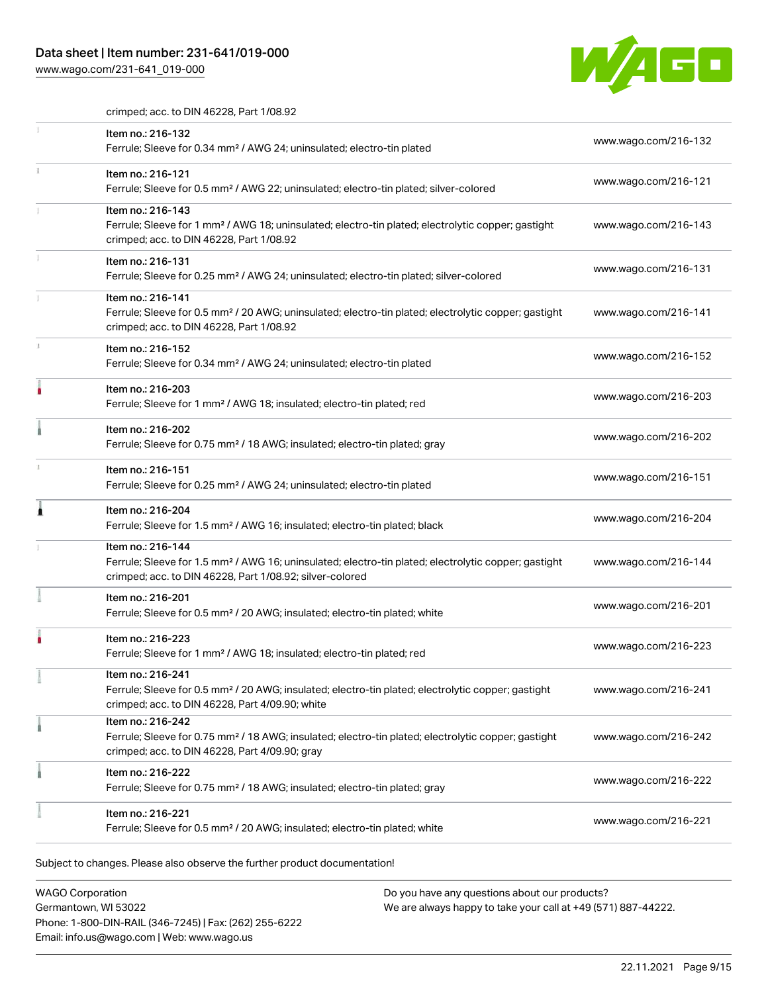# Data sheet | Item number: 231-641/019-000

[www.wago.com/231-641\\_019-000](http://www.wago.com/231-641_019-000)



crimped; acc. to DIN 46228, Part 1/08.92

|   | Item no.: 216-132<br>Ferrule; Sleeve for 0.34 mm <sup>2</sup> / AWG 24; uninsulated; electro-tin plated                                                                                           | www.wago.com/216-132 |
|---|---------------------------------------------------------------------------------------------------------------------------------------------------------------------------------------------------|----------------------|
|   | Item no.: 216-121<br>Ferrule; Sleeve for 0.5 mm <sup>2</sup> / AWG 22; uninsulated; electro-tin plated; silver-colored                                                                            | www.wago.com/216-121 |
|   | Item no.: 216-143<br>Ferrule; Sleeve for 1 mm <sup>2</sup> / AWG 18; uninsulated; electro-tin plated; electrolytic copper; gastight<br>crimped; acc. to DIN 46228, Part 1/08.92                   | www.wago.com/216-143 |
|   | Item no.: 216-131<br>Ferrule; Sleeve for 0.25 mm <sup>2</sup> / AWG 24; uninsulated; electro-tin plated; silver-colored                                                                           | www.wago.com/216-131 |
|   | Item no.: 216-141<br>Ferrule; Sleeve for 0.5 mm <sup>2</sup> / 20 AWG; uninsulated; electro-tin plated; electrolytic copper; gastight<br>crimped; acc. to DIN 46228, Part 1/08.92                 | www.wago.com/216-141 |
|   | Item no.: 216-152<br>Ferrule; Sleeve for 0.34 mm <sup>2</sup> / AWG 24; uninsulated; electro-tin plated                                                                                           | www.wago.com/216-152 |
|   | Item no.: 216-203<br>Ferrule; Sleeve for 1 mm <sup>2</sup> / AWG 18; insulated; electro-tin plated; red                                                                                           | www.wago.com/216-203 |
|   | Item no.: 216-202<br>Ferrule; Sleeve for 0.75 mm <sup>2</sup> / 18 AWG; insulated; electro-tin plated; gray                                                                                       | www.wago.com/216-202 |
|   | Item no.: 216-151<br>Ferrule; Sleeve for 0.25 mm <sup>2</sup> / AWG 24; uninsulated; electro-tin plated                                                                                           | www.wago.com/216-151 |
| 1 | Item no.: 216-204<br>Ferrule; Sleeve for 1.5 mm <sup>2</sup> / AWG 16; insulated; electro-tin plated; black                                                                                       | www.wago.com/216-204 |
|   | Item no.: 216-144<br>Ferrule; Sleeve for 1.5 mm <sup>2</sup> / AWG 16; uninsulated; electro-tin plated; electrolytic copper; gastight<br>crimped; acc. to DIN 46228, Part 1/08.92; silver-colored | www.wago.com/216-144 |
|   | Item no.: 216-201<br>Ferrule; Sleeve for 0.5 mm <sup>2</sup> / 20 AWG; insulated; electro-tin plated; white                                                                                       | www.wago.com/216-201 |
|   | Item no.: 216-223<br>Ferrule; Sleeve for 1 mm <sup>2</sup> / AWG 18; insulated; electro-tin plated; red                                                                                           | www.wago.com/216-223 |
|   | Item no.: 216-241<br>Ferrule; Sleeve for 0.5 mm <sup>2</sup> / 20 AWG; insulated; electro-tin plated; electrolytic copper; gastight<br>crimped; acc. to DIN 46228, Part 4/09.90; white            | www.wago.com/216-241 |
|   | Item no.: 216-242<br>Ferrule; Sleeve for 0.75 mm <sup>2</sup> / 18 AWG; insulated; electro-tin plated; electrolytic copper; gastight<br>crimped; acc. to DIN 46228, Part 4/09.90; gray            | www.wago.com/216-242 |
|   | Item no.: 216-222<br>Ferrule; Sleeve for 0.75 mm <sup>2</sup> / 18 AWG; insulated; electro-tin plated; gray                                                                                       | www.wago.com/216-222 |
|   | Item no.: 216-221<br>Ferrule; Sleeve for 0.5 mm <sup>2</sup> / 20 AWG; insulated; electro-tin plated; white                                                                                       | www.wago.com/216-221 |

Subject to changes. Please also observe the further product documentation!

| <b>WAGO Corporation</b>                                |
|--------------------------------------------------------|
| Germantown, WI 53022                                   |
| Phone: 1-800-DIN-RAIL (346-7245)   Fax: (262) 255-6222 |
| Email: info.us@wago.com   Web: www.wago.us             |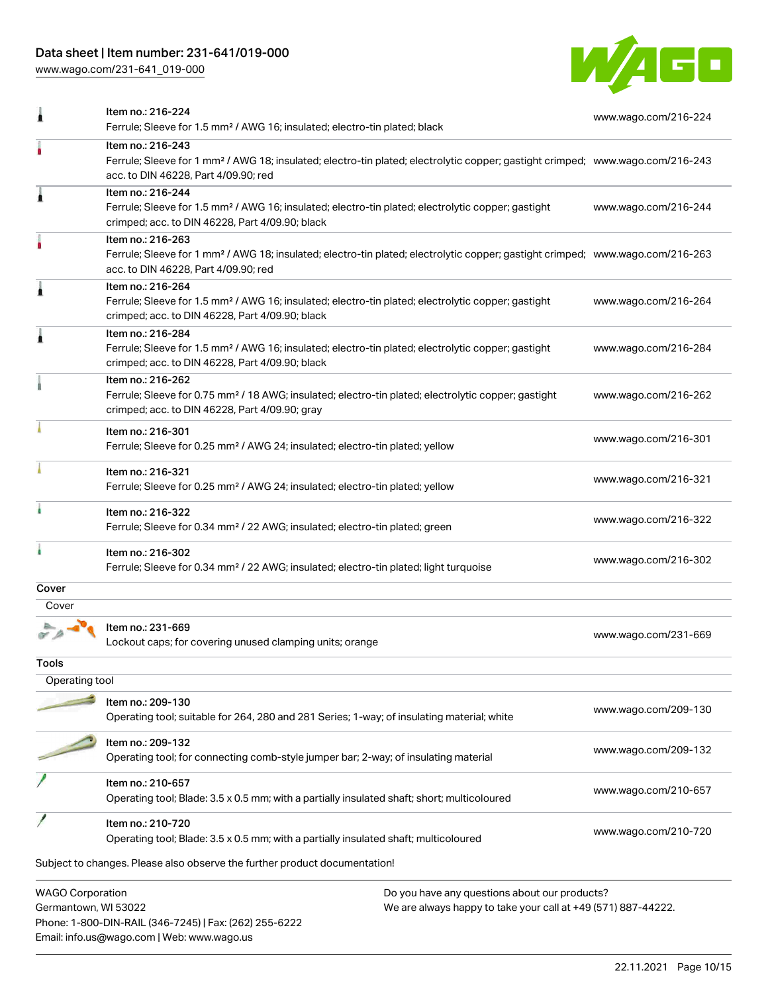# Data sheet | Item number: 231-641/019-000

Email: info.us@wago.com | Web: www.wago.us

[www.wago.com/231-641\\_019-000](http://www.wago.com/231-641_019-000)



|                                                 | Item no.: 216-224<br>Ferrule; Sleeve for 1.5 mm <sup>2</sup> / AWG 16; insulated; electro-tin plated; black                                                                                             | www.wago.com/216-224 |
|-------------------------------------------------|---------------------------------------------------------------------------------------------------------------------------------------------------------------------------------------------------------|----------------------|
|                                                 | Item no.: 216-243<br>Ferrule; Sleeve for 1 mm <sup>2</sup> / AWG 18; insulated; electro-tin plated; electrolytic copper; gastight crimped; www.wago.com/216-243<br>acc. to DIN 46228, Part 4/09.90; red |                      |
| Â                                               | Item no.: 216-244<br>Ferrule; Sleeve for 1.5 mm <sup>2</sup> / AWG 16; insulated; electro-tin plated; electrolytic copper; gastight<br>crimped; acc. to DIN 46228, Part 4/09.90; black                  | www.wago.com/216-244 |
|                                                 | Item no.: 216-263<br>Ferrule; Sleeve for 1 mm <sup>2</sup> / AWG 18; insulated; electro-tin plated; electrolytic copper; gastight crimped; www.wago.com/216-263<br>acc. to DIN 46228, Part 4/09.90; red |                      |
| Â                                               | Item no.: 216-264<br>Ferrule; Sleeve for 1.5 mm <sup>2</sup> / AWG 16; insulated; electro-tin plated; electrolytic copper; gastight<br>crimped; acc. to DIN 46228, Part 4/09.90; black                  | www.wago.com/216-264 |
|                                                 | Item no.: 216-284<br>Ferrule; Sleeve for 1.5 mm <sup>2</sup> / AWG 16; insulated; electro-tin plated; electrolytic copper; gastight<br>crimped; acc. to DIN 46228, Part 4/09.90; black                  | www.wago.com/216-284 |
|                                                 | Item no.: 216-262<br>Ferrule; Sleeve for 0.75 mm <sup>2</sup> / 18 AWG; insulated; electro-tin plated; electrolytic copper; gastight<br>crimped; acc. to DIN 46228, Part 4/09.90; gray                  | www.wago.com/216-262 |
|                                                 | Item no.: 216-301<br>Ferrule; Sleeve for 0.25 mm <sup>2</sup> / AWG 24; insulated; electro-tin plated; yellow                                                                                           | www.wago.com/216-301 |
|                                                 | Item no.: 216-321<br>Ferrule; Sleeve for 0.25 mm <sup>2</sup> / AWG 24; insulated; electro-tin plated; yellow                                                                                           | www.wago.com/216-321 |
|                                                 | Item no.: 216-322<br>Ferrule; Sleeve for 0.34 mm <sup>2</sup> / 22 AWG; insulated; electro-tin plated; green                                                                                            | www.wago.com/216-322 |
| ì                                               | Item no.: 216-302<br>Ferrule; Sleeve for 0.34 mm <sup>2</sup> / 22 AWG; insulated; electro-tin plated; light turquoise                                                                                  | www.wago.com/216-302 |
| Cover                                           |                                                                                                                                                                                                         |                      |
| Cover                                           |                                                                                                                                                                                                         |                      |
|                                                 | Item no.: 231-669<br>Lockout caps; for covering unused clamping units; orange                                                                                                                           | www.wago.com/231-669 |
| Tools                                           |                                                                                                                                                                                                         |                      |
| Operating tool                                  |                                                                                                                                                                                                         |                      |
|                                                 | Item no.: 209-130<br>Operating tool; suitable for 264, 280 and 281 Series; 1-way; of insulating material; white                                                                                         | www.wago.com/209-130 |
|                                                 | Item no.: 209-132<br>Operating tool; for connecting comb-style jumper bar; 2-way; of insulating material                                                                                                | www.wago.com/209-132 |
|                                                 | Item no.: 210-657<br>Operating tool; Blade: 3.5 x 0.5 mm; with a partially insulated shaft; short; multicoloured                                                                                        | www.wago.com/210-657 |
|                                                 | Item no.: 210-720<br>Operating tool; Blade: 3.5 x 0.5 mm; with a partially insulated shaft; multicoloured                                                                                               | www.wago.com/210-720 |
|                                                 | Subject to changes. Please also observe the further product documentation!                                                                                                                              |                      |
| <b>WAGO Corporation</b><br>Germantown, WI 53022 | Do you have any questions about our products?<br>We are always happy to take your call at +49 (571) 887-44222.<br>Phone: 1-800-DIN-RAIL (346-7245)   Fax: (262) 255-6222                                |                      |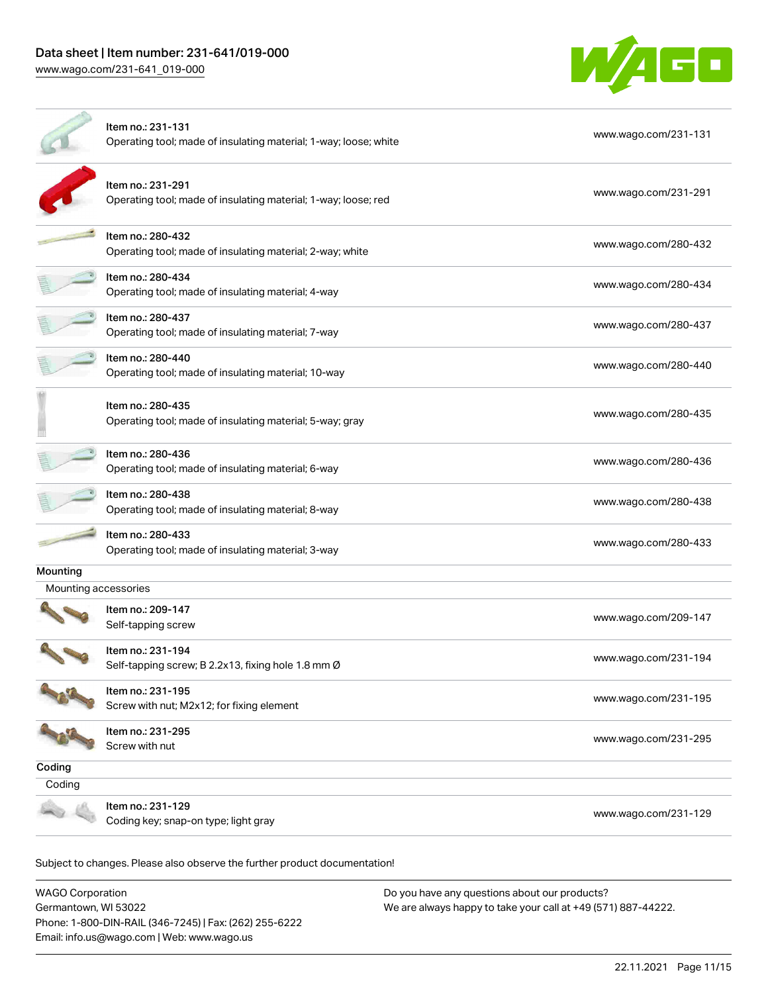# Data sheet | Item number: 231-641/019-000 [www.wago.com/231-641\\_019-000](http://www.wago.com/231-641_019-000)



|                      | Item no.: 231-131<br>Operating tool; made of insulating material; 1-way; loose; white | www.wago.com/231-131 |
|----------------------|---------------------------------------------------------------------------------------|----------------------|
|                      | Item no.: 231-291<br>Operating tool; made of insulating material; 1-way; loose; red   | www.wago.com/231-291 |
|                      | Item no.: 280-432<br>Operating tool; made of insulating material; 2-way; white        | www.wago.com/280-432 |
|                      | Item no.: 280-434<br>Operating tool; made of insulating material; 4-way               | www.wago.com/280-434 |
|                      | Item no.: 280-437<br>Operating tool; made of insulating material; 7-way               | www.wago.com/280-437 |
|                      | Item no.: 280-440<br>Operating tool; made of insulating material; 10-way              | www.wago.com/280-440 |
|                      | Item no.: 280-435<br>Operating tool; made of insulating material; 5-way; gray         | www.wago.com/280-435 |
|                      | Item no.: 280-436<br>Operating tool; made of insulating material; 6-way               | www.wago.com/280-436 |
|                      | Item no.: 280-438<br>Operating tool; made of insulating material; 8-way               | www.wago.com/280-438 |
|                      | Item no.: 280-433<br>Operating tool; made of insulating material; 3-way               | www.wago.com/280-433 |
| Mounting             |                                                                                       |                      |
| Mounting accessories |                                                                                       |                      |
|                      | Item no.: 209-147<br>Self-tapping screw                                               | www.wago.com/209-147 |
|                      | Item no.: 231-194<br>Self-tapping screw; B 2.2x13, fixing hole 1.8 mm Ø               | www.wago.com/231-194 |
|                      | Item no.: 231-195<br>Screw with nut; M2x12; for fixing element                        | www.wago.com/231-195 |
|                      | Item no.: 231-295<br>Screw with nut                                                   | www.wago.com/231-295 |
| Coding               |                                                                                       |                      |
| Coding               |                                                                                       |                      |
|                      | Item no.: 231-129<br>Coding key; snap-on type; light gray                             | www.wago.com/231-129 |
|                      |                                                                                       |                      |

Subject to changes. Please also observe the further product documentation!

WAGO Corporation Germantown, WI 53022 Phone: 1-800-DIN-RAIL (346-7245) | Fax: (262) 255-6222 Email: info.us@wago.com | Web: www.wago.us Do you have any questions about our products? We are always happy to take your call at +49 (571) 887-44222.

22.11.2021 Page 11/15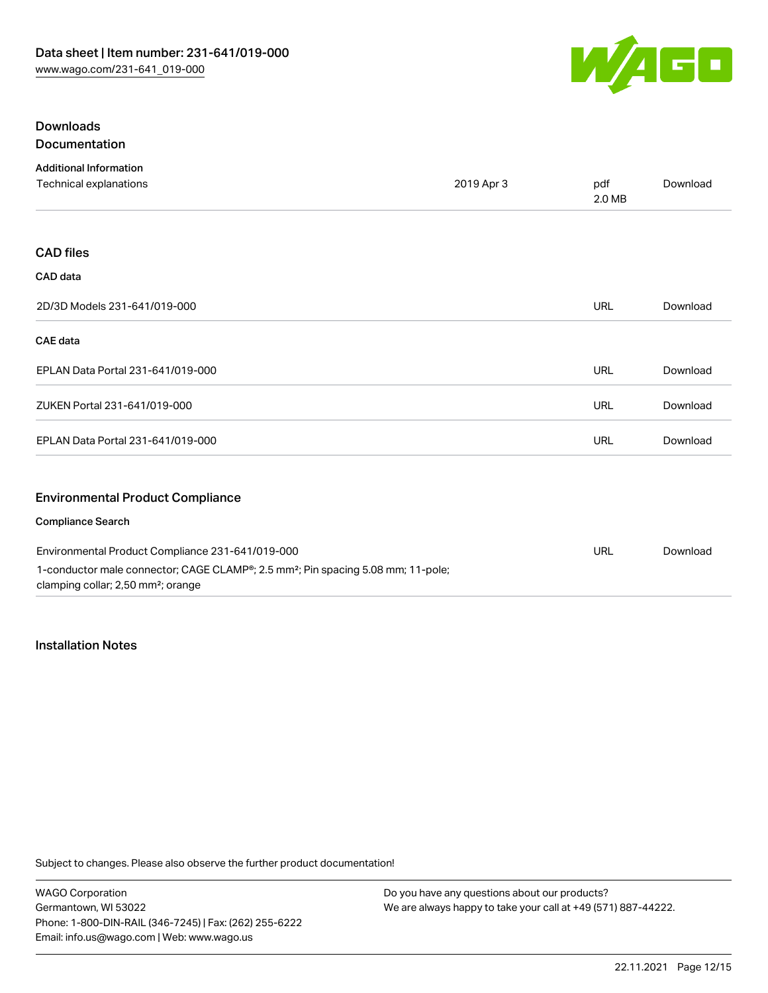

| <b>Downloads</b>                                 |            |               | Download        |
|--------------------------------------------------|------------|---------------|-----------------|
| Documentation                                    |            | pdf<br>2.0 MB |                 |
| <b>Additional Information</b>                    | 2019 Apr 3 |               |                 |
| Technical explanations                           |            |               |                 |
|                                                  |            |               |                 |
| <b>CAD files</b>                                 |            |               |                 |
| CAD data                                         |            |               |                 |
| 2D/3D Models 231-641/019-000                     |            | <b>URL</b>    | Download        |
| CAE data                                         |            |               |                 |
| EPLAN Data Portal 231-641/019-000                |            | <b>URL</b>    | Download        |
| ZUKEN Portal 231-641/019-000                     |            | <b>URL</b>    | Download        |
| EPLAN Data Portal 231-641/019-000                |            | <b>URL</b>    | Download        |
| <b>Environmental Product Compliance</b>          |            |               |                 |
| <b>Compliance Search</b>                         |            |               |                 |
| Environmental Product Compliance 231-641/019-000 |            | <b>LIDI</b>   | <b>Download</b> |

| Environmental Product Compliance 231-641/019-000                                                          | URL | Download |
|-----------------------------------------------------------------------------------------------------------|-----|----------|
| 1-conductor male connector; CAGE CLAMP <sup>®</sup> ; 2.5 mm <sup>2</sup> ; Pin spacing 5.08 mm; 11-pole; |     |          |
| clamping collar; 2,50 mm <sup>2</sup> ; orange                                                            |     |          |

# Installation Notes

Subject to changes. Please also observe the further product documentation!

WAGO Corporation Germantown, WI 53022 Phone: 1-800-DIN-RAIL (346-7245) | Fax: (262) 255-6222 Email: info.us@wago.com | Web: www.wago.us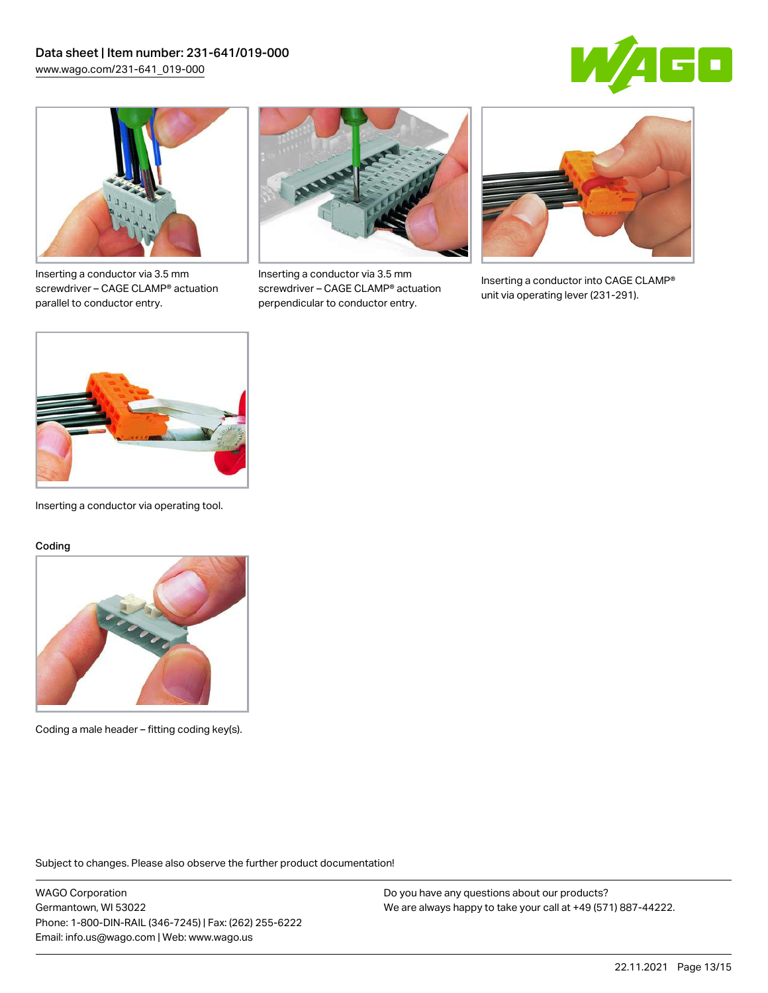



Inserting a conductor via 3.5 mm screwdriver – CAGE CLAMP® actuation parallel to conductor entry.



Inserting a conductor via 3.5 mm screwdriver – CAGE CLAMP® actuation perpendicular to conductor entry.



Inserting a conductor into CAGE CLAMP® unit via operating lever (231-291).



Inserting a conductor via operating tool.

#### Coding



Coding a male header – fitting coding key(s).

Subject to changes. Please also observe the further product documentation!

WAGO Corporation Germantown, WI 53022 Phone: 1-800-DIN-RAIL (346-7245) | Fax: (262) 255-6222 Email: info.us@wago.com | Web: www.wago.us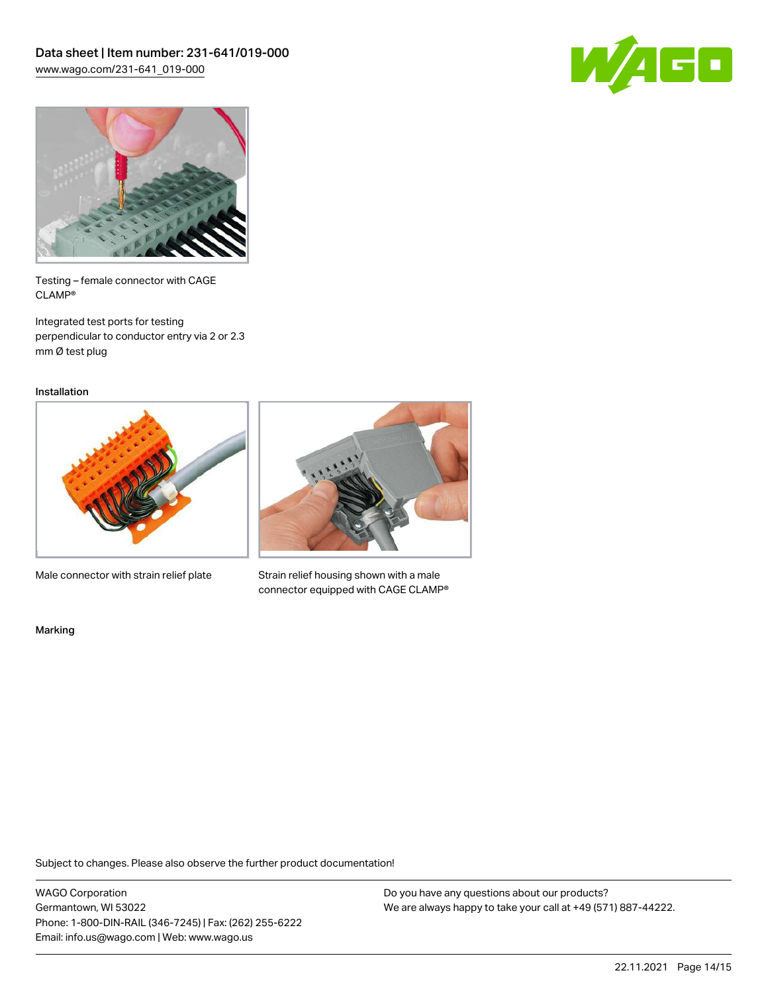



Testing – female connector with CAGE CLAMP®

Integrated test ports for testing perpendicular to conductor entry via 2 or 2.3 mm Ø test plug

Installation



Male connector with strain relief plate



Strain relief housing shown with a male connector equipped with CAGE CLAMP®

Marking

Subject to changes. Please also observe the further product documentation!

WAGO Corporation Germantown, WI 53022 Phone: 1-800-DIN-RAIL (346-7245) | Fax: (262) 255-6222 Email: info.us@wago.com | Web: www.wago.us